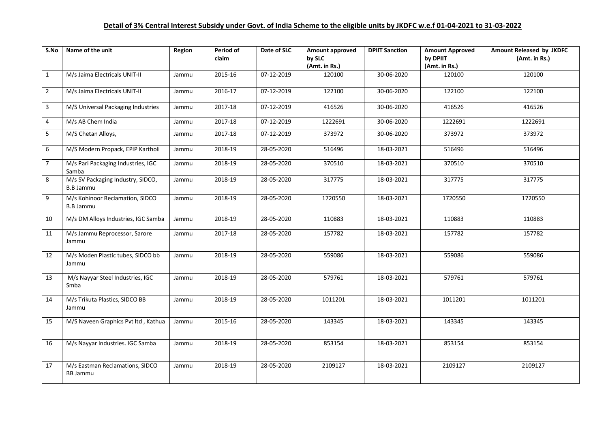| S.No           | Name of the unit                                      | Region | Period of<br>claim | Date of SLC | Amount approved<br>by SLC<br>(Amt. in Rs.) | <b>DPIIT Sanction</b> | <b>Amount Approved</b><br>by DPIIT<br>(Amt. in Rs.) | Amount Released by JKDFC<br>(Amt. in Rs.) |
|----------------|-------------------------------------------------------|--------|--------------------|-------------|--------------------------------------------|-----------------------|-----------------------------------------------------|-------------------------------------------|
| $\mathbf{1}$   | M/s Jaima Electricals UNIT-II                         | Jammu  | 2015-16            | 07-12-2019  | 120100                                     | 30-06-2020            | 120100                                              | 120100                                    |
| $\overline{2}$ | M/s Jaima Electricals UNIT-II                         | Jammu  | 2016-17            | 07-12-2019  | 122100                                     | 30-06-2020            | 122100                                              | 122100                                    |
| 3              | M/S Universal Packaging Industries                    | Jammu  | 2017-18            | 07-12-2019  | 416526                                     | 30-06-2020            | 416526                                              | 416526                                    |
| 4              | M/s AB Chem India                                     | Jammu  | 2017-18            | 07-12-2019  | 1222691                                    | 30-06-2020            | 1222691                                             | 1222691                                   |
| 5              | M/S Chetan Alloys,                                    | Jammu  | 2017-18            | 07-12-2019  | 373972                                     | 30-06-2020            | 373972                                              | 373972                                    |
| 6              | M/S Modern Propack, EPIP Kartholi                     | Jammu  | 2018-19            | 28-05-2020  | 516496                                     | 18-03-2021            | 516496                                              | 516496                                    |
| $\overline{7}$ | M/s Pari Packaging Industries, IGC<br>Samba           | Jammu  | 2018-19            | 28-05-2020  | 370510                                     | 18-03-2021            | 370510                                              | 370510                                    |
| 8              | M/s SV Packaging Industry, SIDCO,<br><b>B.B Jammu</b> | Jammu  | 2018-19            | 28-05-2020  | 317775                                     | 18-03-2021            | 317775                                              | 317775                                    |
| 9              | M/s Kohinoor Reclamation, SIDCO<br><b>B.B Jammu</b>   | Jammu  | 2018-19            | 28-05-2020  | 1720550                                    | 18-03-2021            | 1720550                                             | 1720550                                   |
| 10             | M/s DM Alloys Industries, IGC Samba                   | Jammu  | 2018-19            | 28-05-2020  | 110883                                     | 18-03-2021            | 110883                                              | 110883                                    |
| 11             | M/s Jammu Reprocessor, Sarore<br>Jammu                | Jammu  | 2017-18            | 28-05-2020  | 157782                                     | 18-03-2021            | 157782                                              | 157782                                    |
| 12             | M/s Moden Plastic tubes, SIDCO bb<br>Jammu            | Jammu  | 2018-19            | 28-05-2020  | 559086                                     | 18-03-2021            | 559086                                              | 559086                                    |
| 13             | M/s Nayyar Steel Industries, IGC<br>Smba              | Jammu  | 2018-19            | 28-05-2020  | 579761                                     | 18-03-2021            | 579761                                              | 579761                                    |
| 14             | M/s Trikuta Plastics, SIDCO BB<br>Jammu               | Jammu  | 2018-19            | 28-05-2020  | 1011201                                    | 18-03-2021            | 1011201                                             | 1011201                                   |
| 15             | M/S Naveen Graphics Pvt ltd, Kathua                   | Jammu  | 2015-16            | 28-05-2020  | 143345                                     | 18-03-2021            | 143345                                              | 143345                                    |
| 16             | M/s Nayyar Industries. IGC Samba                      | Jammu  | 2018-19            | 28-05-2020  | 853154                                     | 18-03-2021            | 853154                                              | 853154                                    |
| 17             | M/s Eastman Reclamations, SIDCO<br><b>BB Jammu</b>    | Jammu  | 2018-19            | 28-05-2020  | 2109127                                    | 18-03-2021            | 2109127                                             | 2109127                                   |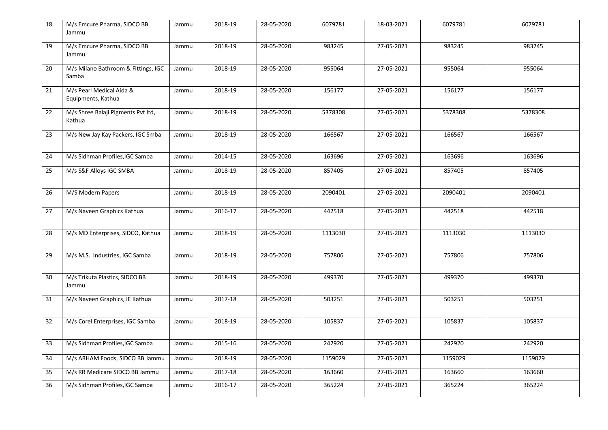| 18 | M/s Emcure Pharma, SIDCO BB<br>Jammu           | Jammu | 2018-19 | 28-05-2020 | 6079781 | 18-03-2021 | 6079781 | 6079781 |
|----|------------------------------------------------|-------|---------|------------|---------|------------|---------|---------|
| 19 | M/s Emcure Pharma, SIDCO BB<br>Jammu           | Jammu | 2018-19 | 28-05-2020 | 983245  | 27-05-2021 | 983245  | 983245  |
| 20 | M/s Milano Bathroom & Fittings, IGC<br>Samba   | Jammu | 2018-19 | 28-05-2020 | 955064  | 27-05-2021 | 955064  | 955064  |
| 21 | M/s Pearl Medical Aida &<br>Equipments, Kathua | Jammu | 2018-19 | 28-05-2020 | 156177  | 27-05-2021 | 156177  | 156177  |
| 22 | M/s Shree Balaji Pigments Pvt ltd,<br>Kathua   | Jammu | 2018-19 | 28-05-2020 | 5378308 | 27-05-2021 | 5378308 | 5378308 |
| 23 | M/s New Jay Kay Packers, IGC Smba              | Jammu | 2018-19 | 28-05-2020 | 166567  | 27-05-2021 | 166567  | 166567  |
| 24 | M/s Sidhman Profiles, IGC Samba                | Jammu | 2014-15 | 28-05-2020 | 163696  | 27-05-2021 | 163696  | 163696  |
| 25 | M/s S&F Alloys IGC SMBA                        | Jammu | 2018-19 | 28-05-2020 | 857405  | 27-05-2021 | 857405  | 857405  |
| 26 | M/S Modern Papers                              | Jammu | 2018-19 | 28-05-2020 | 2090401 | 27-05-2021 | 2090401 | 2090401 |
| 27 | M/s Naveen Graphics Kathua                     | Jammu | 2016-17 | 28-05-2020 | 442518  | 27-05-2021 | 442518  | 442518  |
| 28 | M/s MD Enterprises, SIDCO, Kathua              | Jammu | 2018-19 | 28-05-2020 | 1113030 | 27-05-2021 | 1113030 | 1113030 |
| 29 | M/s M.S. Industries, IGC Samba                 | Jammu | 2018-19 | 28-05-2020 | 757806  | 27-05-2021 | 757806  | 757806  |
| 30 | M/s Trikuta Plastics, SIDCO BB<br>Jammu        | Jammu | 2018-19 | 28-05-2020 | 499370  | 27-05-2021 | 499370  | 499370  |
| 31 | M/s Naveen Graphics, IE Kathua                 | Jammu | 2017-18 | 28-05-2020 | 503251  | 27-05-2021 | 503251  | 503251  |
| 32 | M/s Corel Enterprises, IGC Samba               | Jammu | 2018-19 | 28-05-2020 | 105837  | 27-05-2021 | 105837  | 105837  |
| 33 | M/s Sidhman Profiles, IGC Samba                | Jammu | 2015-16 | 28-05-2020 | 242920  | 27-05-2021 | 242920  | 242920  |
| 34 | M/s ARHAM Foods, SIDCO BB Jammu                | Jammu | 2018-19 | 28-05-2020 | 1159029 | 27-05-2021 | 1159029 | 1159029 |
| 35 | M/s RR Medicare SIDCO BB Jammu                 | Jammu | 2017-18 | 28-05-2020 | 163660  | 27-05-2021 | 163660  | 163660  |
| 36 | M/s Sidhman Profiles, IGC Samba                | Jammu | 2016-17 | 28-05-2020 | 365224  | 27-05-2021 | 365224  | 365224  |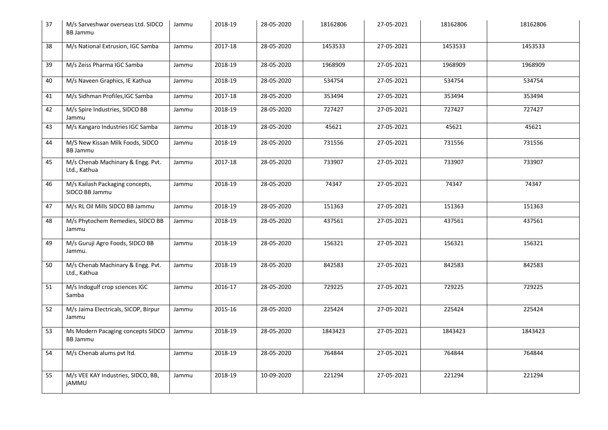| 37 | M/s Sarveshwar overseas Ltd. SIDCO<br><b>BB Jammu</b> | Jammu | 2018-19 | 28-05-2020 | 18162806 | 27-05-2021 | 18162806 | 18162806 |
|----|-------------------------------------------------------|-------|---------|------------|----------|------------|----------|----------|
| 38 | M/s National Extrusion, IGC Samba                     | Jammu | 2017-18 | 28-05-2020 | 1453533  | 27-05-2021 | 1453533  | 1453533  |
| 39 | M/s Zeiss Pharma IGC Samba                            | Jammu | 2018-19 | 28-05-2020 | 1968909  | 27-05-2021 | 1968909  | 1968909  |
| 40 | M/s Naveen Graphics, IE Kathua                        | Jammu | 2018-19 | 28-05-2020 | 534754   | 27-05-2021 | 534754   | 534754   |
| 41 | M/s Sidhman Profiles, IGC Samba                       | Jammu | 2017-18 | 28-05-2020 | 353494   | 27-05-2021 | 353494   | 353494   |
| 42 | M/s Spire Industries, SIDCO BB<br>Jammu               | Jammu | 2018-19 | 28-05-2020 | 727427   | 27-05-2021 | 727427   | 727427   |
| 43 | M/s Kangaro Industries IGC Samba                      | Jammu | 2018-19 | 28-05-2020 | 45621    | 27-05-2021 | 45621    | 45621    |
| 44 | M/S New Kissan Milk Foods, SIDCO<br><b>BB Jammu</b>   | Jammu | 2018-19 | 28-05-2020 | 731556   | 27-05-2021 | 731556   | 731556   |
| 45 | M/s Chenab Machinary & Engg. Pvt.<br>Ltd., Kathua     | Jammu | 2017-18 | 28-05-2020 | 733907   | 27-05-2021 | 733907   | 733907   |
| 46 | M/s Kailash Packaging concepts,<br>SIDCO BB Jammu     | Jammu | 2018-19 | 28-05-2020 | 74347    | 27-05-2021 | 74347    | 74347    |
| 47 | M/s RL Oil Mills SIDCO BB Jammu                       | Jammu | 2018-19 | 28-05-2020 | 151363   | 27-05-2021 | 151363   | 151363   |
| 48 | M/s Phytochem Remedies, SIDCO BB<br>Jammu             | Jammu | 2018-19 | 28-05-2020 | 437561   | 27-05-2021 | 437561   | 437561   |
| 49 | M/s Guruji Agro Foods, SIDCO BB<br>Jammu.             | Jammu | 2018-19 | 28-05-2020 | 156321   | 27-05-2021 | 156321   | 156321   |
| 50 | M/s Chenab Machinary & Engg. Pvt.<br>Ltd., Kathua     | Jammu | 2018-19 | 28-05-2020 | 842583   | 27-05-2021 | 842583   | 842583   |
| 51 | M/s Indogulf crop sciences IGC<br>Samba               | Jammu | 2016-17 | 28-05-2020 | 729225   | 27-05-2021 | 729225   | 729225   |
| 52 | M/s Jaima Electricals, SICOP, Birpur<br>Jammu         | Jammu | 2015-16 | 28-05-2020 | 225424   | 27-05-2021 | 225424   | 225424   |
| 53 | Ms Modern Pacaging concepts SIDCO<br><b>BB Jammu</b>  | Jammu | 2018-19 | 28-05-2020 | 1843423  | 27-05-2021 | 1843423  | 1843423  |
| 54 | M/s Chenab alums pvt ltd.                             | Jammu | 2018-19 | 28-05-2020 | 764844   | 27-05-2021 | 764844   | 764844   |
| 55 | M/s VEE KAY Industries, SIDCO, BB,<br><b>jAMMU</b>    | Jammu | 2018-19 | 10-09-2020 | 221294   | 27-05-2021 | 221294   | 221294   |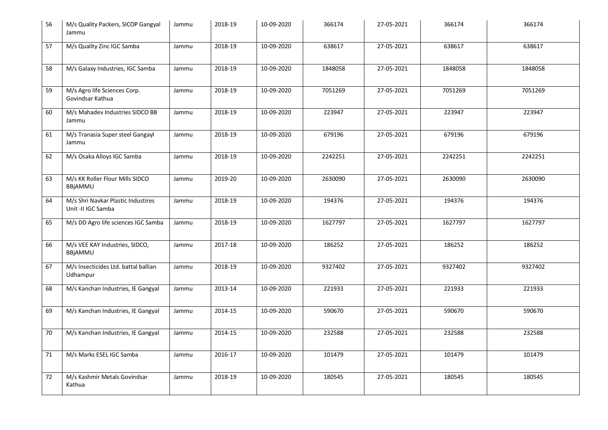| 56 | M/s Quality Packers, SICOP Gangyal<br>Jammu              | Jammu | 2018-19 | 10-09-2020 | 366174  | 27-05-2021 | 366174  | 366174  |
|----|----------------------------------------------------------|-------|---------|------------|---------|------------|---------|---------|
| 57 | M/s Quality Zinc IGC Samba                               | Jammu | 2018-19 | 10-09-2020 | 638617  | 27-05-2021 | 638617  | 638617  |
| 58 | M/s Galaxy Industries, IGC Samba                         | Jammu | 2018-19 | 10-09-2020 | 1848058 | 27-05-2021 | 1848058 | 1848058 |
| 59 | M/s Agro life Sciences Corp.<br>Govindsar Kathua         | Jammu | 2018-19 | 10-09-2020 | 7051269 | 27-05-2021 | 7051269 | 7051269 |
| 60 | M/s Mahadev Industries SIDCO BB<br>Jammu                 | Jammu | 2018-19 | 10-09-2020 | 223947  | 27-05-2021 | 223947  | 223947  |
| 61 | M/s Tranasia Super steel Gangayl<br>Jammu                | Jammu | 2018-19 | 10-09-2020 | 679196  | 27-05-2021 | 679196  | 679196  |
| 62 | M/s Osaka Alloys IGC Samba                               | Jammu | 2018-19 | 10-09-2020 | 2242251 | 27-05-2021 | 2242251 | 2242251 |
| 63 | M/s KK Roller Flour Mills SIDCO<br>BBjAMMU               | Jammu | 2019-20 | 10-09-2020 | 2630090 | 27-05-2021 | 2630090 | 2630090 |
| 64 | M/s Shri Navkar Plastic Industires<br>Unit -II IGC Samba | Jammu | 2018-19 | 10-09-2020 | 194376  | 27-05-2021 | 194376  | 194376  |
| 65 | M/s DD Agro life sciences IGC Samba                      | Jammu | 2018-19 | 10-09-2020 | 1627797 | 27-05-2021 | 1627797 | 1627797 |
| 66 | M/s VEE KAY Industries, SIDCO,<br>BBjAMMU                | Jammu | 2017-18 | 10-09-2020 | 186252  | 27-05-2021 | 186252  | 186252  |
| 67 | M/s Insecticides Ltd. battal ballian<br>Udhampur         | Jammu | 2018-19 | 10-09-2020 | 9327402 | 27-05-2021 | 9327402 | 9327402 |
| 68 | M/s Kanchan Industries, IE Gangyal                       | Jammu | 2013-14 | 10-09-2020 | 221933  | 27-05-2021 | 221933  | 221933  |
| 69 | M/s Kanchan Industries, IE Gangyal                       | Jammu | 2014-15 | 10-09-2020 | 590670  | 27-05-2021 | 590670  | 590670  |
| 70 | M/s Kanchan Industries, IE Gangyal                       | Jammu | 2014-15 | 10-09-2020 | 232588  | 27-05-2021 | 232588  | 232588  |
| 71 | M/s Marks ESEL IGC Samba                                 | Jammu | 2016-17 | 10-09-2020 | 101479  | 27-05-2021 | 101479  | 101479  |
| 72 | M/s Kashmir Metals Govindsar<br>Kathua                   | Jammu | 2018-19 | 10-09-2020 | 180545  | 27-05-2021 | 180545  | 180545  |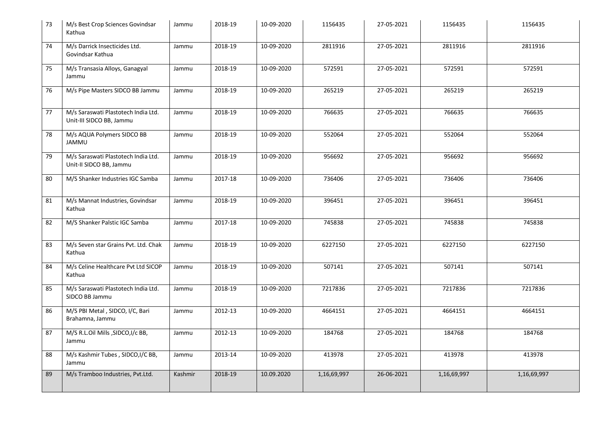| 73 | M/s Best Crop Sciences Govindsar<br>Kathua                      | Jammu   | 2018-19 | 10-09-2020 | 1156435     | 27-05-2021       | 1156435     | 1156435     |
|----|-----------------------------------------------------------------|---------|---------|------------|-------------|------------------|-------------|-------------|
| 74 | M/s Darrick Insecticides Ltd.<br>Govindsar Kathua               | Jammu   | 2018-19 | 10-09-2020 | 2811916     | $27 - 05 - 2021$ | 2811916     | 2811916     |
| 75 | M/s Transasia Alloys, Ganagyal<br>Jammu                         | Jammu   | 2018-19 | 10-09-2020 | 572591      | 27-05-2021       | 572591      | 572591      |
| 76 | M/s Pipe Masters SIDCO BB Jammu                                 | Jammu   | 2018-19 | 10-09-2020 | 265219      | 27-05-2021       | 265219      | 265219      |
| 77 | M/s Saraswati Plastotech India Ltd.<br>Unit-III SIDCO BB, Jammu | Jammu   | 2018-19 | 10-09-2020 | 766635      | 27-05-2021       | 766635      | 766635      |
| 78 | M/s AQUA Polymers SIDCO BB<br><b>JAMMU</b>                      | Jammu   | 2018-19 | 10-09-2020 | 552064      | 27-05-2021       | 552064      | 552064      |
| 79 | M/s Saraswati Plastotech India Ltd.<br>Unit-II SIDCO BB, Jammu  | Jammu   | 2018-19 | 10-09-2020 | 956692      | 27-05-2021       | 956692      | 956692      |
| 80 | M/S Shanker Industries IGC Samba                                | Jammu   | 2017-18 | 10-09-2020 | 736406      | 27-05-2021       | 736406      | 736406      |
| 81 | M/s Mannat Industries, Govindsar<br>Kathua                      | Jammu   | 2018-19 | 10-09-2020 | 396451      | 27-05-2021       | 396451      | 396451      |
| 82 | M/S Shanker Palstic IGC Samba                                   | Jammu   | 2017-18 | 10-09-2020 | 745838      | 27-05-2021       | 745838      | 745838      |
| 83 | M/s Seven star Grains Pvt. Ltd. Chak<br>Kathua                  | Jammu   | 2018-19 | 10-09-2020 | 6227150     | 27-05-2021       | 6227150     | 6227150     |
| 84 | M/s Celine Healthcare Pvt Ltd SICOP<br>Kathua                   | Jammu   | 2018-19 | 10-09-2020 | 507141      | 27-05-2021       | 507141      | 507141      |
| 85 | M/s Saraswati Plastotech India Ltd.<br>SIDCO BB Jammu           | Jammu   | 2018-19 | 10-09-2020 | 7217836     | 27-05-2021       | 7217836     | 7217836     |
| 86 | M/S PBI Metal, SIDCO, I/C, Bari<br>Brahamna, Jammu              | Jammu   | 2012-13 | 10-09-2020 | 4664151     | 27-05-2021       | 4664151     | 4664151     |
| 87 | M/S R.L.Oil Mills , SIDCO, I/c BB,<br>Jammu                     | Jammu   | 2012-13 | 10-09-2020 | 184768      | 27-05-2021       | 184768      | 184768      |
| 88 | M/s Kashmir Tubes, SIDCO,I/C BB,<br>Jammu                       | Jammu   | 2013-14 | 10-09-2020 | 413978      | 27-05-2021       | 413978      | 413978      |
| 89 | M/s Tramboo Industries, Pvt.Ltd.                                | Kashmir | 2018-19 | 10.09.2020 | 1,16,69,997 | 26-06-2021       | 1,16,69,997 | 1,16,69,997 |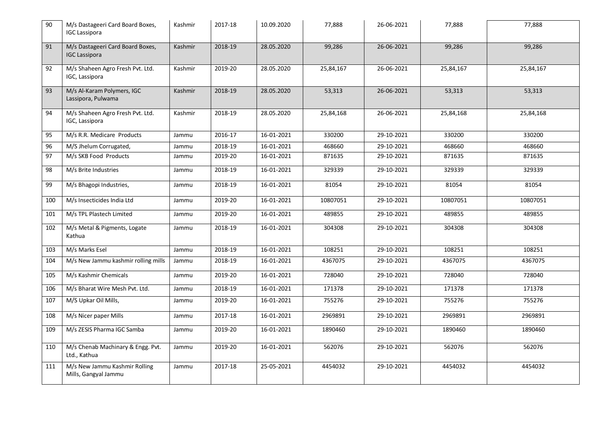| 90  | M/s Dastageeri Card Board Boxes,<br><b>IGC Lassipora</b> | Kashmir | 2017-18 | 10.09.2020 | 77,888    | 26-06-2021 | 77,888    | 77,888    |
|-----|----------------------------------------------------------|---------|---------|------------|-----------|------------|-----------|-----------|
| 91  | M/s Dastageeri Card Board Boxes,<br><b>IGC Lassipora</b> | Kashmir | 2018-19 | 28.05.2020 | 99,286    | 26-06-2021 | 99,286    | 99,286    |
| 92  | M/s Shaheen Agro Fresh Pvt. Ltd.<br>IGC, Lassipora       | Kashmir | 2019-20 | 28.05.2020 | 25,84,167 | 26-06-2021 | 25,84,167 | 25,84,167 |
| 93  | M/s Al-Karam Polymers, IGC<br>Lassipora, Pulwama         | Kashmir | 2018-19 | 28.05.2020 | 53,313    | 26-06-2021 | 53,313    | 53,313    |
| 94  | M/s Shaheen Agro Fresh Pvt. Ltd.<br>IGC, Lassipora       | Kashmir | 2018-19 | 28.05.2020 | 25,84,168 | 26-06-2021 | 25,84,168 | 25,84,168 |
| 95  | M/s R.R. Medicare Products                               | Jammu   | 2016-17 | 16-01-2021 | 330200    | 29-10-2021 | 330200    | 330200    |
| 96  | M/S Jhelum Corrugated,                                   | Jammu   | 2018-19 | 16-01-2021 | 468660    | 29-10-2021 | 468660    | 468660    |
| 97  | M/s SKB Food Products                                    | Jammu   | 2019-20 | 16-01-2021 | 871635    | 29-10-2021 | 871635    | 871635    |
| 98  | M/s Brite Industries                                     | Jammu   | 2018-19 | 16-01-2021 | 329339    | 29-10-2021 | 329339    | 329339    |
| 99  | M/s Bhagopi Industries,                                  | Jammu   | 2018-19 | 16-01-2021 | 81054     | 29-10-2021 | 81054     | 81054     |
| 100 | M/s Insecticides India Ltd                               | Jammu   | 2019-20 | 16-01-2021 | 10807051  | 29-10-2021 | 10807051  | 10807051  |
| 101 | M/s TPL Plastech Limited                                 | Jammu   | 2019-20 | 16-01-2021 | 489855    | 29-10-2021 | 489855    | 489855    |
| 102 | M/s Metal & Pigments, Logate<br>Kathua                   | Jammu   | 2018-19 | 16-01-2021 | 304308    | 29-10-2021 | 304308    | 304308    |
| 103 | M/s Marks Esel                                           | Jammu   | 2018-19 | 16-01-2021 | 108251    | 29-10-2021 | 108251    | 108251    |
| 104 | M/s New Jammu kashmir rolling mills                      | Jammu   | 2018-19 | 16-01-2021 | 4367075   | 29-10-2021 | 4367075   | 4367075   |
| 105 | M/s Kashmir Chemicals                                    | Jammu   | 2019-20 | 16-01-2021 | 728040    | 29-10-2021 | 728040    | 728040    |
| 106 | M/s Bharat Wire Mesh Pvt. Ltd.                           | Jammu   | 2018-19 | 16-01-2021 | 171378    | 29-10-2021 | 171378    | 171378    |
| 107 | M/S Upkar Oil Mills,                                     | Jammu   | 2019-20 | 16-01-2021 | 755276    | 29-10-2021 | 755276    | 755276    |
| 108 | M/s Nicer paper Mills                                    | Jammu   | 2017-18 | 16-01-2021 | 2969891   | 29-10-2021 | 2969891   | 2969891   |
| 109 | M/s ZESIS Pharma IGC Samba                               | Jammu   | 2019-20 | 16-01-2021 | 1890460   | 29-10-2021 | 1890460   | 1890460   |
| 110 | M/s Chenab Machinary & Engg. Pvt.<br>Ltd., Kathua        | Jammu   | 2019-20 | 16-01-2021 | 562076    | 29-10-2021 | 562076    | 562076    |
| 111 | M/s New Jammu Kashmir Rolling<br>Mills, Gangyal Jammu    | Jammu   | 2017-18 | 25-05-2021 | 4454032   | 29-10-2021 | 4454032   | 4454032   |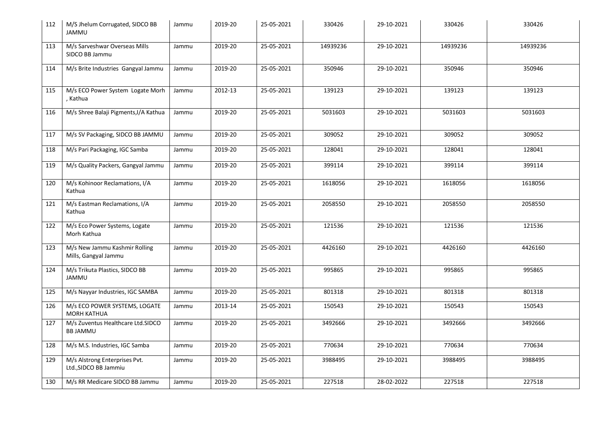| 112 | M/S Jhelum Corrugated, SIDCO BB<br><b>JAMMU</b>        | Jammu | 2019-20 | 25-05-2021 | 330426   | 29-10-2021 | 330426   | 330426   |
|-----|--------------------------------------------------------|-------|---------|------------|----------|------------|----------|----------|
| 113 | M/s Sarveshwar Overseas Mills<br>SIDCO BB Jammu        | Jammu | 2019-20 | 25-05-2021 | 14939236 | 29-10-2021 | 14939236 | 14939236 |
| 114 | M/s Brite Industries Gangyal Jammu                     | Jammu | 2019-20 | 25-05-2021 | 350946   | 29-10-2021 | 350946   | 350946   |
| 115 | M/s ECO Power System Logate Morh<br>, Kathua           | Jammu | 2012-13 | 25-05-2021 | 139123   | 29-10-2021 | 139123   | 139123   |
| 116 | M/s Shree Balaji Pigments, I/A Kathua                  | Jammu | 2019-20 | 25-05-2021 | 5031603  | 29-10-2021 | 5031603  | 5031603  |
| 117 | M/s SV Packaging, SIDCO BB JAMMU                       | Jammu | 2019-20 | 25-05-2021 | 309052   | 29-10-2021 | 309052   | 309052   |
| 118 | M/s Pari Packaging, IGC Samba                          | Jammu | 2019-20 | 25-05-2021 | 128041   | 29-10-2021 | 128041   | 128041   |
| 119 | M/s Quality Packers, Gangyal Jammu                     | Jammu | 2019-20 | 25-05-2021 | 399114   | 29-10-2021 | 399114   | 399114   |
| 120 | M/s Kohinoor Reclamations, I/A<br>Kathua               | Jammu | 2019-20 | 25-05-2021 | 1618056  | 29-10-2021 | 1618056  | 1618056  |
| 121 | M/s Eastman Reclamations, I/A<br>Kathua                | Jammu | 2019-20 | 25-05-2021 | 2058550  | 29-10-2021 | 2058550  | 2058550  |
| 122 | M/s Eco Power Systems, Logate<br>Morh Kathua           | Jammu | 2019-20 | 25-05-2021 | 121536   | 29-10-2021 | 121536   | 121536   |
| 123 | M/s New Jammu Kashmir Rolling<br>Mills, Gangyal Jammu  | Jammu | 2019-20 | 25-05-2021 | 4426160  | 29-10-2021 | 4426160  | 4426160  |
| 124 | M/s Trikuta Plastics, SIDCO BB<br><b>JAMMU</b>         | Jammu | 2019-20 | 25-05-2021 | 995865   | 29-10-2021 | 995865   | 995865   |
| 125 | M/s Nayyar Industries, IGC SAMBA                       | Jammu | 2019-20 | 25-05-2021 | 801318   | 29-10-2021 | 801318   | 801318   |
| 126 | M/s ECO POWER SYSTEMS, LOGATE<br><b>MORH KATHUA</b>    | Jammu | 2013-14 | 25-05-2021 | 150543   | 29-10-2021 | 150543   | 150543   |
| 127 | M/s Zuventus Healthcare Ltd.SIDCO<br><b>BB JAMMU</b>   | Jammu | 2019-20 | 25-05-2021 | 3492666  | 29-10-2021 | 3492666  | 3492666  |
| 128 | M/s M.S. Industries, IGC Samba                         | Jammu | 2019-20 | 25-05-2021 | 770634   | 29-10-2021 | 770634   | 770634   |
| 129 | M/s Alstrong Enterprises Pvt.<br>Ltd., SIDCO BB Jammiu | Jammu | 2019-20 | 25-05-2021 | 3988495  | 29-10-2021 | 3988495  | 3988495  |
| 130 | M/s RR Medicare SIDCO BB Jammu                         | Jammu | 2019-20 | 25-05-2021 | 227518   | 28-02-2022 | 227518   | 227518   |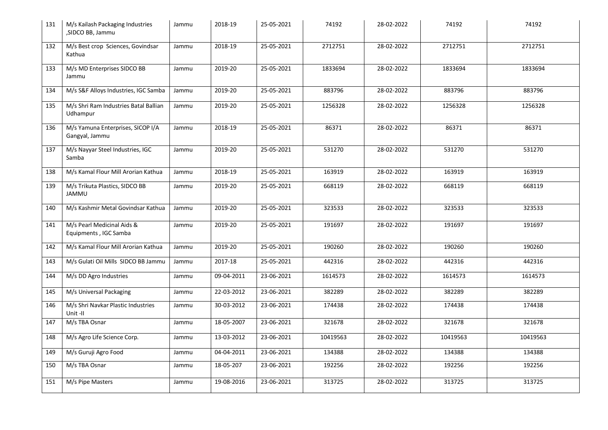| 131 | M/s Kailash Packaging Industries<br>,SIDCO BB, Jammu | Jammu | 2018-19    | 25-05-2021 | 74192    | 28-02-2022 | 74192    | 74192    |
|-----|------------------------------------------------------|-------|------------|------------|----------|------------|----------|----------|
| 132 | M/s Best crop Sciences, Govindsar<br>Kathua          | Jammu | 2018-19    | 25-05-2021 | 2712751  | 28-02-2022 | 2712751  | 2712751  |
| 133 | M/s MD Enterprises SIDCO BB<br>Jammu                 | Jammu | 2019-20    | 25-05-2021 | 1833694  | 28-02-2022 | 1833694  | 1833694  |
| 134 | M/s S&F Alloys Industries, IGC Samba                 | Jammu | 2019-20    | 25-05-2021 | 883796   | 28-02-2022 | 883796   | 883796   |
| 135 | M/s Shri Ram Industries Batal Ballian<br>Udhampur    | Jammu | 2019-20    | 25-05-2021 | 1256328  | 28-02-2022 | 1256328  | 1256328  |
| 136 | M/s Yamuna Enterprises, SICOP I/A<br>Gangyal, Jammu  | Jammu | 2018-19    | 25-05-2021 | 86371    | 28-02-2022 | 86371    | 86371    |
| 137 | M/s Nayyar Steel Industries, IGC<br>Samba            | Jammu | 2019-20    | 25-05-2021 | 531270   | 28-02-2022 | 531270   | 531270   |
| 138 | M/s Kamal Flour Mill Arorian Kathua                  | Jammu | 2018-19    | 25-05-2021 | 163919   | 28-02-2022 | 163919   | 163919   |
| 139 | M/s Trikuta Plastics, SIDCO BB<br><b>JAMMU</b>       | Jammu | 2019-20    | 25-05-2021 | 668119   | 28-02-2022 | 668119   | 668119   |
| 140 | M/s Kashmir Metal Govindsar Kathua                   | Jammu | 2019-20    | 25-05-2021 | 323533   | 28-02-2022 | 323533   | 323533   |
| 141 | M/s Pearl Medicinal Aids &<br>Equipments, IGC Samba  | Jammu | 2019-20    | 25-05-2021 | 191697   | 28-02-2022 | 191697   | 191697   |
| 142 | M/s Kamal Flour Mill Arorian Kathua                  | Jammu | 2019-20    | 25-05-2021 | 190260   | 28-02-2022 | 190260   | 190260   |
| 143 | M/s Gulati Oil Mills SIDCO BB Jammu                  | Jammu | 2017-18    | 25-05-2021 | 442316   | 28-02-2022 | 442316   | 442316   |
| 144 | M/s DD Agro Industries                               | Jammu | 09-04-2011 | 23-06-2021 | 1614573  | 28-02-2022 | 1614573  | 1614573  |
| 145 | M/s Universal Packaging                              | Jammu | 22-03-2012 | 23-06-2021 | 382289   | 28-02-2022 | 382289   | 382289   |
| 146 | M/s Shri Navkar Plastic Industries<br>Unit-II        | Jammu | 30-03-2012 | 23-06-2021 | 174438   | 28-02-2022 | 174438   | 174438   |
| 147 | M/s TBA Osnar                                        | Jammu | 18-05-2007 | 23-06-2021 | 321678   | 28-02-2022 | 321678   | 321678   |
| 148 | M/s Agro Life Science Corp.                          | Jammu | 13-03-2012 | 23-06-2021 | 10419563 | 28-02-2022 | 10419563 | 10419563 |
| 149 | M/s Guruji Agro Food                                 | Jammu | 04-04-2011 | 23-06-2021 | 134388   | 28-02-2022 | 134388   | 134388   |
| 150 | M/s TBA Osnar                                        | Jammu | 18-05-207  | 23-06-2021 | 192256   | 28-02-2022 | 192256   | 192256   |
| 151 | M/s Pipe Masters                                     | Jammu | 19-08-2016 | 23-06-2021 | 313725   | 28-02-2022 | 313725   | 313725   |